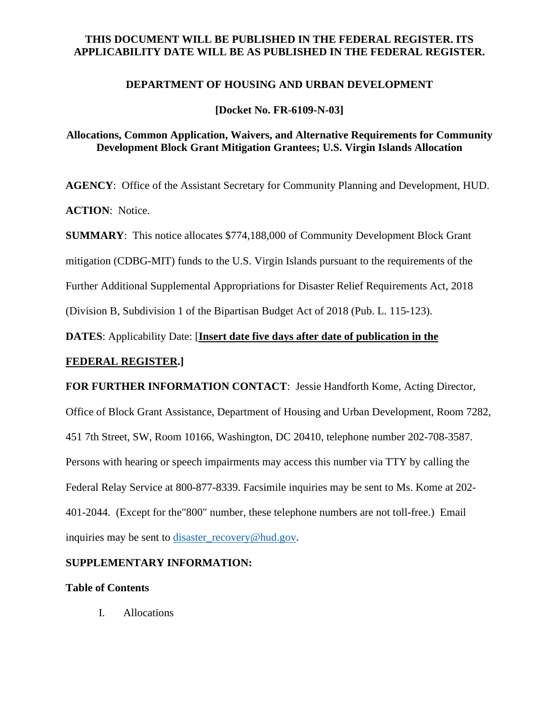# **THIS DOCUMENT WILL BE PUBLISHED IN THE FEDERAL REGISTER. ITS APPLICABILITY DATE WILL BE AS PUBLISHED IN THE FEDERAL REGISTER.**

### **DEPARTMENT OF HOUSING AND URBAN DEVELOPMENT**

**[Docket No. FR-6109-N-03]** 

# **Allocations, Common Application, Waivers, and Alternative Requirements for Community Development Block Grant Mitigation Grantees; U.S. Virgin Islands Allocation**

**AGENCY**: Office of the Assistant Secretary for Community Planning and Development, HUD. **ACTION**: Notice.

**SUMMARY**: This notice allocates \$774,188,000 of Community Development Block Grant mitigation (CDBG-MIT) funds to the U.S. Virgin Islands pursuant to the requirements of the

Further Additional Supplemental Appropriations for Disaster Relief Requirements Act, 2018

(Division B, Subdivision 1 of the Bipartisan Budget Act of 2018 (Pub. L. 115-123).

**DATES**: Applicability Date: [**Insert date five days after date of publication in the** 

# **FEDERAL REGISTER.]**

**FOR FURTHER INFORMATION CONTACT**: Jessie Handforth Kome, Acting Director,

Office of Block Grant Assistance, Department of Housing and Urban Development, Room 7282, 451 7th Street, SW, Room 10166, Washington, DC 20410, telephone number 202-708-3587. Persons with hearing or speech impairments may access this number via TTY by calling the Federal Relay Service at 800-877-8339. Facsimile inquiries may be sent to Ms. Kome at 202- 401-2044. (Except for the"800" number, these telephone numbers are not toll-free.) Email inquiries may be sent to disaster recovery@hud.gov.

# **SUPPLEMENTARY INFORMATION:**

### **Table of Contents**

I. Allocations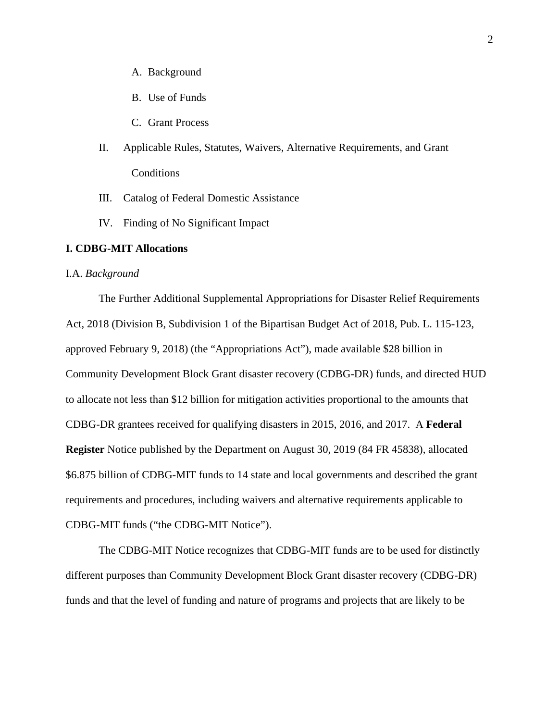- A. Background
- B. Use of Funds
- C. Grant Process
- II. Applicable Rules, Statutes, Waivers, Alternative Requirements, and Grant Conditions
- III. Catalog of Federal Domestic Assistance
- IV. Finding of No Significant Impact

### **I. CDBG-MIT Allocations**

#### I.A. *Background*

The Further Additional Supplemental Appropriations for Disaster Relief Requirements Act, 2018 (Division B, Subdivision 1 of the Bipartisan Budget Act of 2018, Pub. L. 115-123, approved February 9, 2018) (the "Appropriations Act"), made available \$28 billion in Community Development Block Grant disaster recovery (CDBG-DR) funds, and directed HUD to allocate not less than \$12 billion for mitigation activities proportional to the amounts that CDBG-DR grantees received for qualifying disasters in 2015, 2016, and 2017. A **Federal Register** Notice published by the Department on August 30, 2019 (84 FR 45838), allocated \$6.875 billion of CDBG-MIT funds to 14 state and local governments and described the grant requirements and procedures, including waivers and alternative requirements applicable to CDBG-MIT funds ("the CDBG-MIT Notice").

The CDBG-MIT Notice recognizes that CDBG-MIT funds are to be used for distinctly different purposes than Community Development Block Grant disaster recovery (CDBG-DR) funds and that the level of funding and nature of programs and projects that are likely to be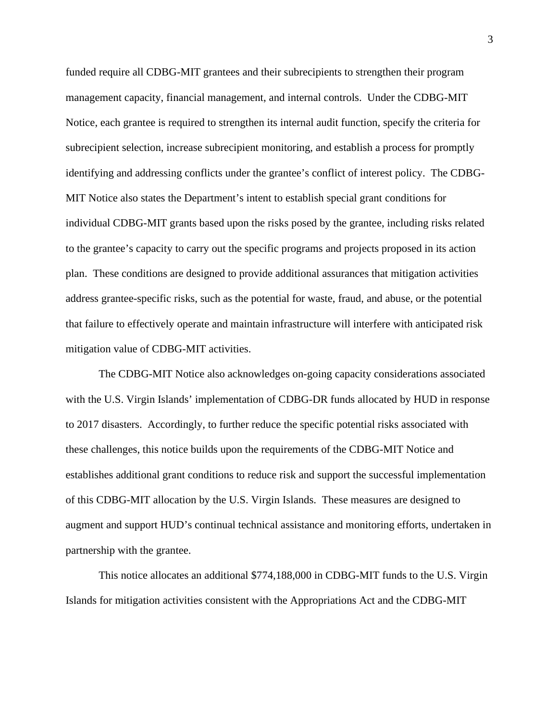funded require all CDBG-MIT grantees and their subrecipients to strengthen their program management capacity, financial management, and internal controls. Under the CDBG-MIT Notice, each grantee is required to strengthen its internal audit function, specify the criteria for subrecipient selection, increase subrecipient monitoring, and establish a process for promptly identifying and addressing conflicts under the grantee's conflict of interest policy. The CDBG-MIT Notice also states the Department's intent to establish special grant conditions for individual CDBG-MIT grants based upon the risks posed by the grantee, including risks related to the grantee's capacity to carry out the specific programs and projects proposed in its action plan. These conditions are designed to provide additional assurances that mitigation activities address grantee-specific risks, such as the potential for waste, fraud, and abuse, or the potential that failure to effectively operate and maintain infrastructure will interfere with anticipated risk mitigation value of CDBG-MIT activities.

The CDBG-MIT Notice also acknowledges on-going capacity considerations associated with the U.S. Virgin Islands' implementation of CDBG-DR funds allocated by HUD in response to 2017 disasters. Accordingly, to further reduce the specific potential risks associated with these challenges, this notice builds upon the requirements of the CDBG-MIT Notice and establishes additional grant conditions to reduce risk and support the successful implementation of this CDBG-MIT allocation by the U.S. Virgin Islands. These measures are designed to augment and support HUD's continual technical assistance and monitoring efforts, undertaken in partnership with the grantee.

This notice allocates an additional \$774,188,000 in CDBG-MIT funds to the U.S. Virgin Islands for mitigation activities consistent with the Appropriations Act and the CDBG-MIT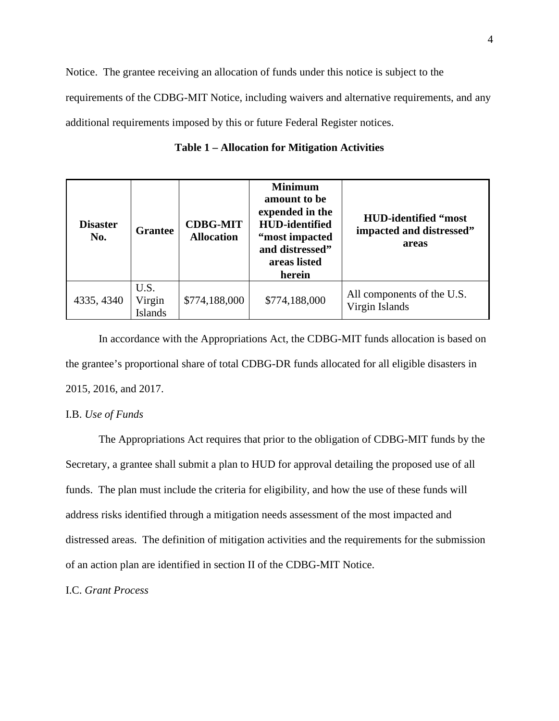Notice. The grantee receiving an allocation of funds under this notice is subject to the requirements of the CDBG-MIT Notice, including waivers and alternative requirements, and any additional requirements imposed by this or future Federal Register notices.

| <b>Disaster</b><br>No. | <b>Grantee</b>            | <b>CDBG-MIT</b><br><b>Allocation</b> | <b>Minimum</b><br>amount to be<br>expended in the<br><b>HUD-identified</b><br>"most impacted<br>and distressed"<br>areas listed<br>herein | <b>HUD-identified "most</b><br>impacted and distressed"<br>areas |
|------------------------|---------------------------|--------------------------------------|-------------------------------------------------------------------------------------------------------------------------------------------|------------------------------------------------------------------|
| 4335, 4340             | U.S.<br>Virgin<br>Islands | \$774,188,000                        | \$774,188,000                                                                                                                             | All components of the U.S.<br>Virgin Islands                     |

**Table 1 – Allocation for Mitigation Activities** 

In accordance with the Appropriations Act, the CDBG-MIT funds allocation is based on the grantee's proportional share of total CDBG-DR funds allocated for all eligible disasters in 2015, 2016, and 2017.

### I.B. *Use of Funds*

The Appropriations Act requires that prior to the obligation of CDBG-MIT funds by the Secretary, a grantee shall submit a plan to HUD for approval detailing the proposed use of all funds. The plan must include the criteria for eligibility, and how the use of these funds will address risks identified through a mitigation needs assessment of the most impacted and distressed areas. The definition of mitigation activities and the requirements for the submission of an action plan are identified in section II of the CDBG-MIT Notice.

I.C. *Grant Process*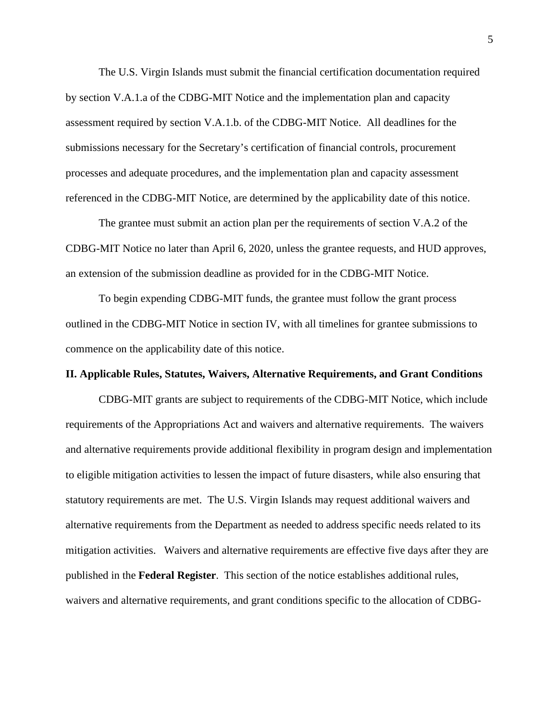The U.S. Virgin Islands must submit the financial certification documentation required by section V.A.1.a of the CDBG-MIT Notice and the implementation plan and capacity assessment required by section V.A.1.b. of the CDBG-MIT Notice. All deadlines for the submissions necessary for the Secretary's certification of financial controls, procurement processes and adequate procedures, and the implementation plan and capacity assessment referenced in the CDBG-MIT Notice, are determined by the applicability date of this notice.

The grantee must submit an action plan per the requirements of section V.A.2 of the CDBG-MIT Notice no later than April 6, 2020, unless the grantee requests, and HUD approves, an extension of the submission deadline as provided for in the CDBG-MIT Notice.

To begin expending CDBG-MIT funds, the grantee must follow the grant process outlined in the CDBG-MIT Notice in section IV, with all timelines for grantee submissions to commence on the applicability date of this notice.

#### **II. Applicable Rules, Statutes, Waivers, Alternative Requirements, and Grant Conditions**

CDBG-MIT grants are subject to requirements of the CDBG-MIT Notice, which include requirements of the Appropriations Act and waivers and alternative requirements. The waivers and alternative requirements provide additional flexibility in program design and implementation to eligible mitigation activities to lessen the impact of future disasters, while also ensuring that statutory requirements are met. The U.S. Virgin Islands may request additional waivers and alternative requirements from the Department as needed to address specific needs related to its mitigation activities. Waivers and alternative requirements are effective five days after they are published in the **Federal Register**.This section of the notice establishes additional rules, waivers and alternative requirements, and grant conditions specific to the allocation of CDBG-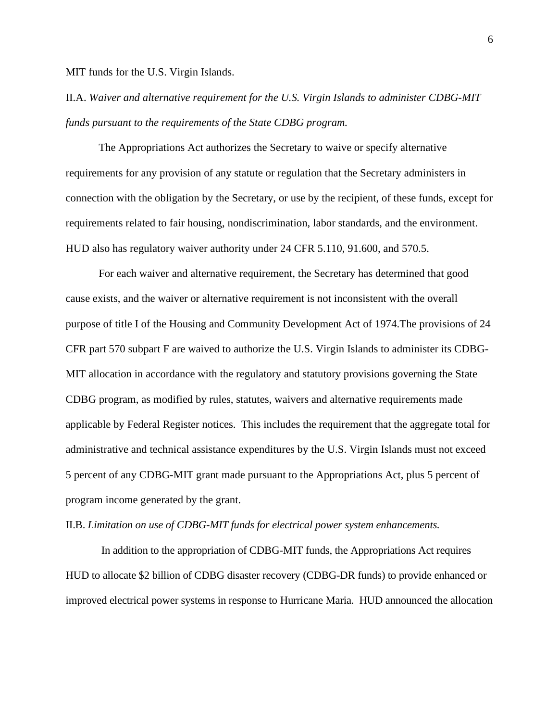MIT funds for the U.S. Virgin Islands.

II.A. *Waiver and alternative requirement for the U.S. Virgin Islands to administer CDBG-MIT funds pursuant to the requirements of the State CDBG program.* 

The Appropriations Act authorizes the Secretary to waive or specify alternative requirements for any provision of any statute or regulation that the Secretary administers in connection with the obligation by the Secretary, or use by the recipient, of these funds, except for requirements related to fair housing, nondiscrimination, labor standards, and the environment. HUD also has regulatory waiver authority under 24 CFR 5.110, 91.600, and 570.5.

For each waiver and alternative requirement, the Secretary has determined that good cause exists, and the waiver or alternative requirement is not inconsistent with the overall purpose of title I of the Housing and Community Development Act of 1974.The provisions of 24 CFR part 570 subpart F are waived to authorize the U.S. Virgin Islands to administer its CDBG-MIT allocation in accordance with the regulatory and statutory provisions governing the State CDBG program, as modified by rules, statutes, waivers and alternative requirements made applicable by Federal Register notices. This includes the requirement that the aggregate total for administrative and technical assistance expenditures by the U.S. Virgin Islands must not exceed 5 percent of any CDBG-MIT grant made pursuant to the Appropriations Act, plus 5 percent of program income generated by the grant.

II.B. *Limitation on use of CDBG-MIT funds for electrical power system enhancements.* 

In addition to the appropriation of CDBG-MIT funds, the Appropriations Act requires HUD to allocate \$2 billion of CDBG disaster recovery (CDBG-DR funds) to provide enhanced or improved electrical power systems in response to Hurricane Maria. HUD announced the allocation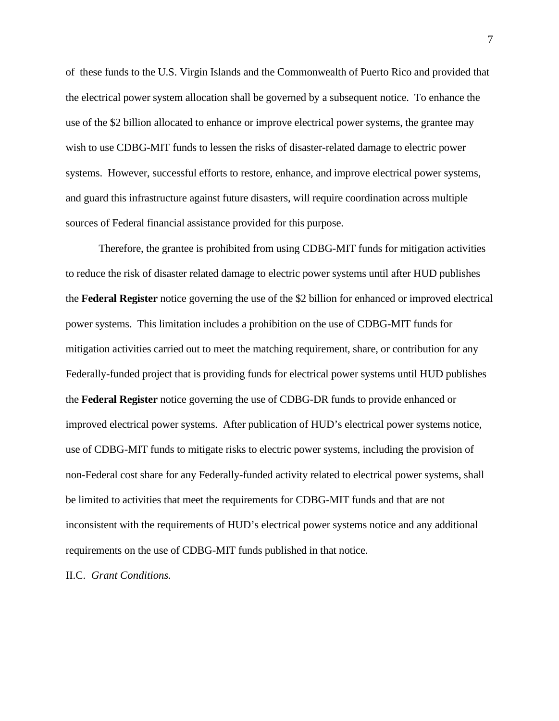of these funds to the U.S. Virgin Islands and the Commonwealth of Puerto Rico and provided that the electrical power system allocation shall be governed by a subsequent notice. To enhance the use of the \$2 billion allocated to enhance or improve electrical power systems, the grantee may wish to use CDBG-MIT funds to lessen the risks of disaster-related damage to electric power systems. However, successful efforts to restore, enhance, and improve electrical power systems, and guard this infrastructure against future disasters, will require coordination across multiple sources of Federal financial assistance provided for this purpose.

Therefore, the grantee is prohibited from using CDBG-MIT funds for mitigation activities to reduce the risk of disaster related damage to electric power systems until after HUD publishes the **Federal Register** notice governing the use of the \$2 billion for enhanced or improved electrical power systems. This limitation includes a prohibition on the use of CDBG-MIT funds for mitigation activities carried out to meet the matching requirement, share, or contribution for any Federally-funded project that is providing funds for electrical power systems until HUD publishes the **Federal Register** notice governing the use of CDBG-DR funds to provide enhanced or improved electrical power systems. After publication of HUD's electrical power systems notice, use of CDBG-MIT funds to mitigate risks to electric power systems, including the provision of non-Federal cost share for any Federally-funded activity related to electrical power systems, shall be limited to activities that meet the requirements for CDBG-MIT funds and that are not inconsistent with the requirements of HUD's electrical power systems notice and any additional requirements on the use of CDBG-MIT funds published in that notice.

II.C. *Grant Conditions.*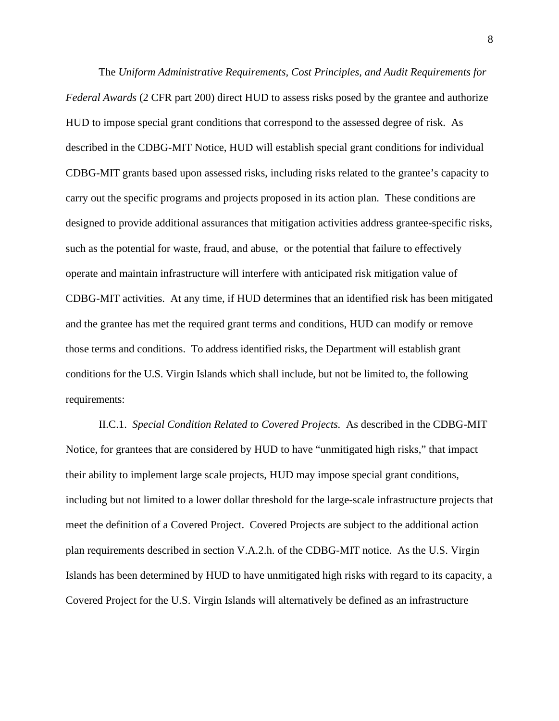The *Uniform Administrative Requirements, Cost Principles, and Audit Requirements for Federal Awards* (2 CFR part 200) direct HUD to assess risks posed by the grantee and authorize HUD to impose special grant conditions that correspond to the assessed degree of risk. As described in the CDBG-MIT Notice, HUD will establish special grant conditions for individual CDBG-MIT grants based upon assessed risks, including risks related to the grantee's capacity to carry out the specific programs and projects proposed in its action plan. These conditions are designed to provide additional assurances that mitigation activities address grantee-specific risks, such as the potential for waste, fraud, and abuse, or the potential that failure to effectively operate and maintain infrastructure will interfere with anticipated risk mitigation value of CDBG-MIT activities. At any time, if HUD determines that an identified risk has been mitigated and the grantee has met the required grant terms and conditions, HUD can modify or remove those terms and conditions. To address identified risks, the Department will establish grant conditions for the U.S. Virgin Islands which shall include, but not be limited to, the following requirements:

II.C.1. *Special Condition Related to Covered Projects.* As described in the CDBG-MIT Notice, for grantees that are considered by HUD to have "unmitigated high risks," that impact their ability to implement large scale projects, HUD may impose special grant conditions, including but not limited to a lower dollar threshold for the large-scale infrastructure projects that meet the definition of a Covered Project. Covered Projects are subject to the additional action plan requirements described in section V.A.2.h. of the CDBG-MIT notice. As the U.S. Virgin Islands has been determined by HUD to have unmitigated high risks with regard to its capacity, a Covered Project for the U.S. Virgin Islands will alternatively be defined as an infrastructure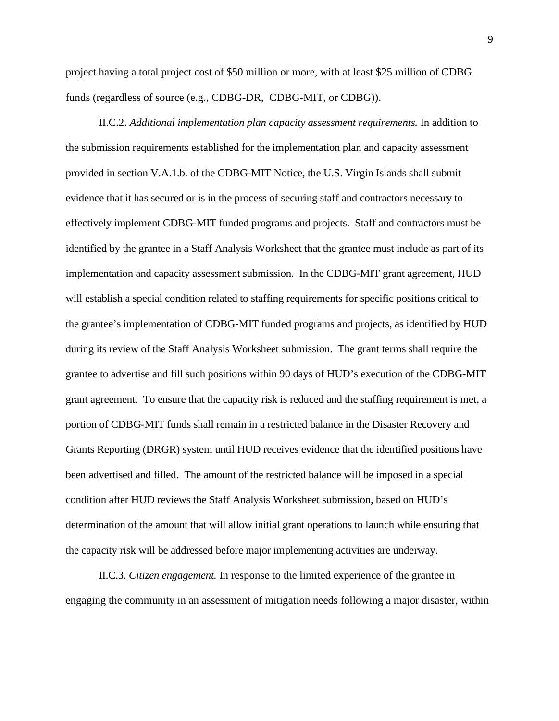project having a total project cost of \$50 million or more, with at least \$25 million of CDBG funds (regardless of source (e.g., CDBG-DR, CDBG-MIT, or CDBG)).

II.C.2. *Additional implementation plan capacity assessment requirements.* In addition to the submission requirements established for the implementation plan and capacity assessment provided in section V.A.1.b. of the CDBG-MIT Notice, the U.S. Virgin Islands shall submit evidence that it has secured or is in the process of securing staff and contractors necessary to effectively implement CDBG-MIT funded programs and projects. Staff and contractors must be identified by the grantee in a Staff Analysis Worksheet that the grantee must include as part of its implementation and capacity assessment submission. In the CDBG-MIT grant agreement, HUD will establish a special condition related to staffing requirements for specific positions critical to the grantee's implementation of CDBG-MIT funded programs and projects, as identified by HUD during its review of the Staff Analysis Worksheet submission. The grant terms shall require the grantee to advertise and fill such positions within 90 days of HUD's execution of the CDBG-MIT grant agreement. To ensure that the capacity risk is reduced and the staffing requirement is met, a portion of CDBG-MIT funds shall remain in a restricted balance in the Disaster Recovery and Grants Reporting (DRGR) system until HUD receives evidence that the identified positions have been advertised and filled. The amount of the restricted balance will be imposed in a special condition after HUD reviews the Staff Analysis Worksheet submission, based on HUD's determination of the amount that will allow initial grant operations to launch while ensuring that the capacity risk will be addressed before major implementing activities are underway.

II.C.3. *Citizen engagement.* In response to the limited experience of the grantee in engaging the community in an assessment of mitigation needs following a major disaster, within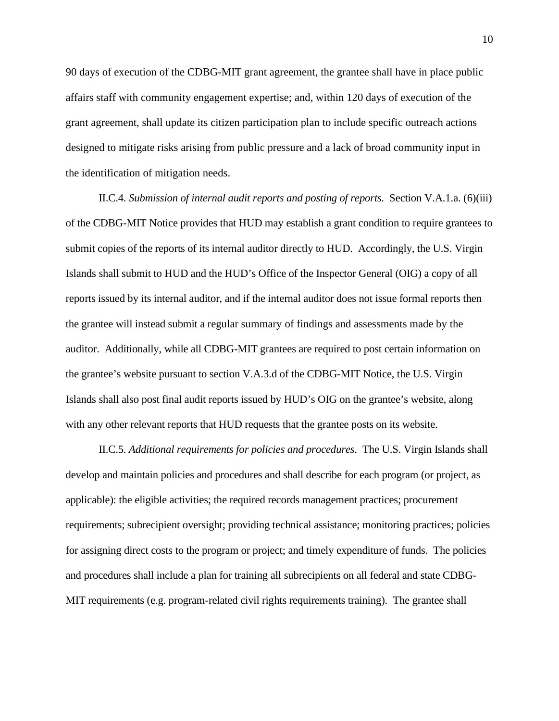90 days of execution of the CDBG-MIT grant agreement, the grantee shall have in place public affairs staff with community engagement expertise; and, within 120 days of execution of the grant agreement, shall update its citizen participation plan to include specific outreach actions designed to mitigate risks arising from public pressure and a lack of broad community input in the identification of mitigation needs.

II.C.4. *Submission of internal audit reports and posting of reports.* Section V.A.1.a. (6)(iii) of the CDBG-MIT Notice provides that HUD may establish a grant condition to require grantees to submit copies of the reports of its internal auditor directly to HUD. Accordingly, the U.S. Virgin Islands shall submit to HUD and the HUD's Office of the Inspector General (OIG) a copy of all reports issued by its internal auditor, and if the internal auditor does not issue formal reports then the grantee will instead submit a regular summary of findings and assessments made by the auditor. Additionally, while all CDBG-MIT grantees are required to post certain information on the grantee's website pursuant to section V.A.3.d of the CDBG-MIT Notice, the U.S. Virgin Islands shall also post final audit reports issued by HUD's OIG on the grantee's website, along with any other relevant reports that HUD requests that the grantee posts on its website.

II.C.5. *Additional requirements for policies and procedures.* The U.S. Virgin Islands shall develop and maintain policies and procedures and shall describe for each program (or project, as applicable): the eligible activities; the required records management practices; procurement requirements; subrecipient oversight; providing technical assistance; monitoring practices; policies for assigning direct costs to the program or project; and timely expenditure of funds. The policies and procedures shall include a plan for training all subrecipients on all federal and state CDBG-MIT requirements (e.g. program-related civil rights requirements training). The grantee shall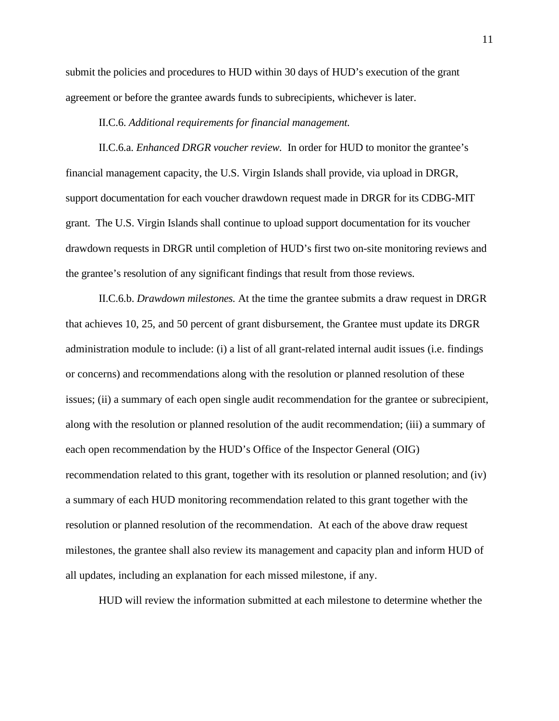submit the policies and procedures to HUD within 30 days of HUD's execution of the grant agreement or before the grantee awards funds to subrecipients, whichever is later.

#### II.C.6. *Additional requirements for financial management.*

II.C.6.a. *Enhanced DRGR voucher review.* In order for HUD to monitor the grantee's financial management capacity, the U.S. Virgin Islands shall provide, via upload in DRGR, support documentation for each voucher drawdown request made in DRGR for its CDBG-MIT grant. The U.S. Virgin Islands shall continue to upload support documentation for its voucher drawdown requests in DRGR until completion of HUD's first two on-site monitoring reviews and the grantee's resolution of any significant findings that result from those reviews.

II.C.6.b. *Drawdown milestones.* At the time the grantee submits a draw request in DRGR that achieves 10, 25, and 50 percent of grant disbursement, the Grantee must update its DRGR administration module to include: (i) a list of all grant-related internal audit issues (i.e. findings or concerns) and recommendations along with the resolution or planned resolution of these issues; (ii) a summary of each open single audit recommendation for the grantee or subrecipient, along with the resolution or planned resolution of the audit recommendation; (iii) a summary of each open recommendation by the HUD's Office of the Inspector General (OIG) recommendation related to this grant, together with its resolution or planned resolution; and (iv) a summary of each HUD monitoring recommendation related to this grant together with the resolution or planned resolution of the recommendation. At each of the above draw request milestones, the grantee shall also review its management and capacity plan and inform HUD of all updates, including an explanation for each missed milestone, if any.

HUD will review the information submitted at each milestone to determine whether the

11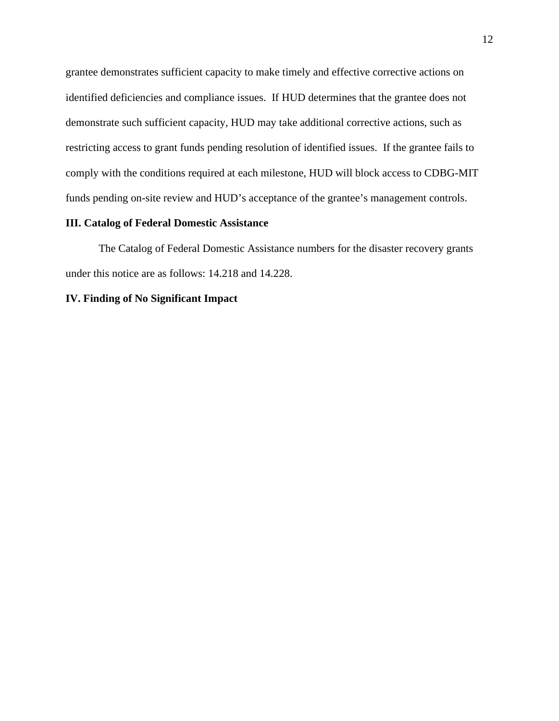grantee demonstrates sufficient capacity to make timely and effective corrective actions on identified deficiencies and compliance issues. If HUD determines that the grantee does not demonstrate such sufficient capacity, HUD may take additional corrective actions, such as restricting access to grant funds pending resolution of identified issues. If the grantee fails to comply with the conditions required at each milestone, HUD will block access to CDBG-MIT funds pending on-site review and HUD's acceptance of the grantee's management controls.

### **III. Catalog of Federal Domestic Assistance**

The Catalog of Federal Domestic Assistance numbers for the disaster recovery grants under this notice are as follows: 14.218 and 14.228.

## **IV. Finding of No Significant Impact**